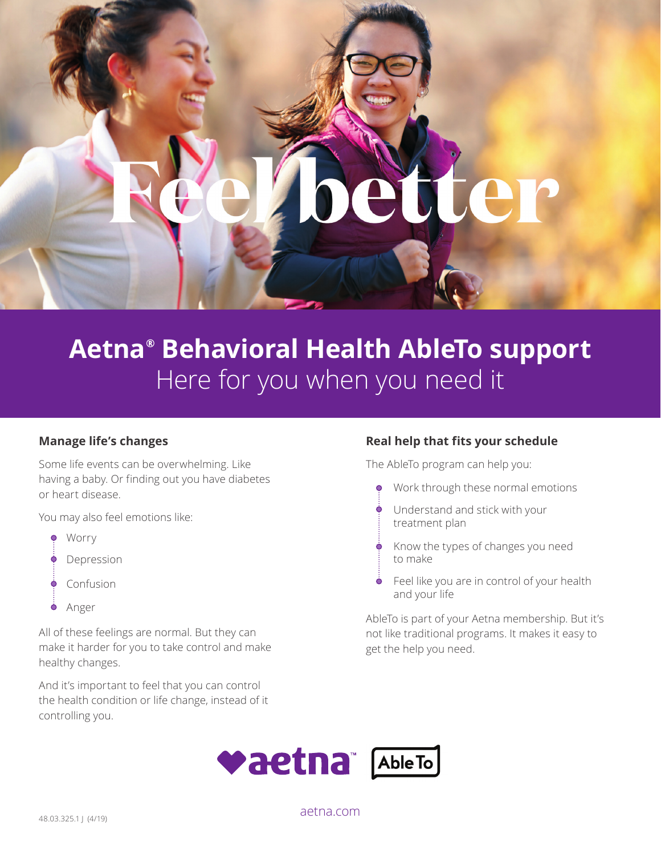

# **Aetna® Behavioral Health AbleTo support**  Here for you when you need it

#### **Manage life's changes**

Some life events can be overwhelming. Like having a baby. Or finding out you have diabetes or heart disease.

You may also feel emotions like:

- $\bullet$ Worry
- Depression
- Ò Confusion
- Ò Anger

All of these feelings are normal. But they can make it harder for you to take control and make healthy changes.

And it's important to feel that you can control the health condition or life change, instead of it controlling you.

#### **Real help that fits your schedule**

The AbleTo program can help you:

- Work through these normal emotions  $\bullet$
- Understand and stick with your treatment plan
- Know the types of changes you need to make
- Feel like you are in control of your health and your life

AbleTo is part of your Aetna membership. But it's not like traditional programs. It makes it easy to get the help you need.



[aetna.com](http://aetna.com)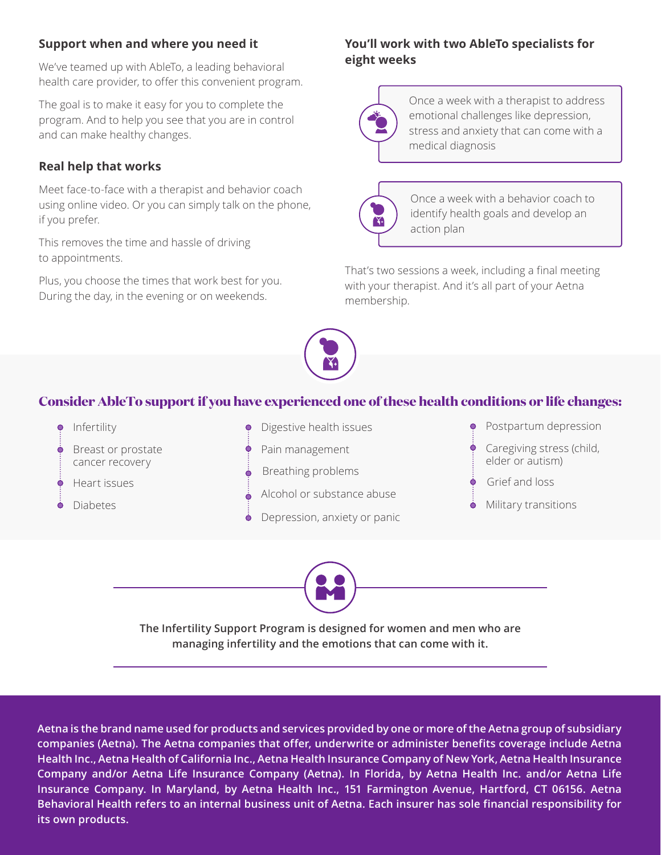#### **Support when and where you need it**

We've teamed up with AbleTo, a leading behavioral health care provider, to offer this convenient program.

The goal is to make it easy for you to complete the program. And to help you see that you are in control and can make healthy changes.

#### **Real help that works**

Meet face-to-face with a therapist and behavior coach using online video. Or you can simply talk on the phone, if you prefer.

This removes the time and hassle of driving to appointments.

Plus, you choose the times that work best for you. During the day, in the evening or on weekends.

#### **You'll work with two AbleTo specialists for eight weeks**



Once a week with a therapist to address emotional challenges like depression, stress and anxiety that can come with a medical diagnosis



Once a week with a behavior coach to identify health goals and develop an action plan

That's two sessions a week, including a final meeting with your therapist. And it's all part of your Aetna membership.



### **Consider AbleTo support if you have experienced one of these health conditions or life changes:**





**The Infertility Support Program is designed for women and men who are managing infertility and the emotions that can come with it.** 

**Aetna is the brand name used for products and services provided by one or more of the Aetna group of subsidiary companies (Aetna). The Aetna companies that offer, underwrite or administer benefits coverage include Aetna Health Inc., Aetna Health of California Inc., Aetna Health Insurance Company of New York, Aetna Health Insurance Company and/or Aetna Life Insurance Company (Aetna). In Florida, by Aetna Health Inc. and/or Aetna Life Insurance Company. In Maryland, by Aetna Health Inc., 151 Farmington Avenue, Hartford, CT 06156. Aetna Behavioral Health refers to an internal business unit of Aetna. Each insurer has sole financial responsibility for its own products.**